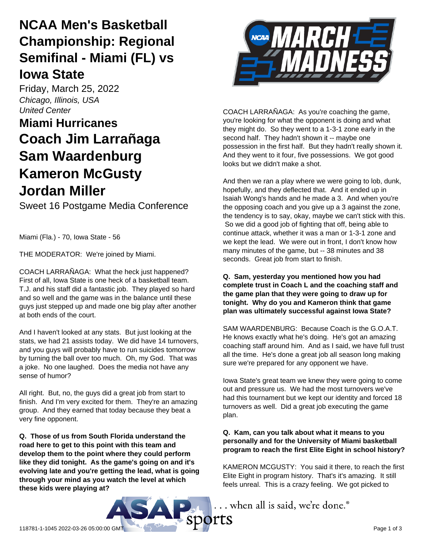# **NCAA Men's Basketball Championship: Regional Semifinal - Miami (FL) vs Iowa State**

Friday, March 25, 2022 *Chicago, Illinois, USA United Center*

# **Miami Hurricanes Coach Jim Larrañaga Sam Waardenburg Kameron McGusty Jordan Miller**

Sweet 16 Postgame Media Conference

Miami (Fla.) - 70, Iowa State - 56

THE MODERATOR: We're joined by Miami.

COACH LARRAÑAGA: What the heck just happened? First of all, Iowa State is one heck of a basketball team. T.J. and his staff did a fantastic job. They played so hard and so well and the game was in the balance until these guys just stepped up and made one big play after another at both ends of the court.

And I haven't looked at any stats. But just looking at the stats, we had 21 assists today. We did have 14 turnovers, and you guys will probably have to run suicides tomorrow by turning the ball over too much. Oh, my God. That was a joke. No one laughed. Does the media not have any sense of humor?

All right. But, no, the guys did a great job from start to finish. And I'm very excited for them. They're an amazing group. And they earned that today because they beat a very fine opponent.

**Q. Those of us from South Florida understand the road here to get to this point with this team and develop them to the point where they could perform like they did tonight. As the game's going on and it's evolving late and you're getting the lead, what is going through your mind as you watch the level at which these kids were playing at?**



COACH LARRAÑAGA: As you're coaching the game, you're looking for what the opponent is doing and what they might do. So they went to a 1-3-1 zone early in the second half. They hadn't shown it -- maybe one possession in the first half. But they hadn't really shown it. And they went to it four, five possessions. We got good looks but we didn't make a shot.

And then we ran a play where we were going to lob, dunk, hopefully, and they deflected that. And it ended up in Isaiah Wong's hands and he made a 3. And when you're the opposing coach and you give up a 3 against the zone, the tendency is to say, okay, maybe we can't stick with this. So we did a good job of fighting that off, being able to continue attack, whether it was a man or 1-3-1 zone and we kept the lead. We were out in front, I don't know how many minutes of the game, but -- 38 minutes and 38 seconds. Great job from start to finish.

### **Q. Sam, yesterday you mentioned how you had complete trust in Coach L and the coaching staff and the game plan that they were going to draw up for tonight. Why do you and Kameron think that game plan was ultimately successful against Iowa State?**

SAM WAARDENBURG: Because Coach is the G.O.A.T. He knows exactly what he's doing. He's got an amazing coaching staff around him. And as I said, we have full trust all the time. He's done a great job all season long making sure we're prepared for any opponent we have.

Iowa State's great team we knew they were going to come out and pressure us. We had the most turnovers we've had this tournament but we kept our identity and forced 18 turnovers as well. Did a great job executing the game plan.

### **Q. Kam, can you talk about what it means to you personally and for the University of Miami basketball program to reach the first Elite Eight in school history?**

KAMERON MCGUSTY: You said it there, to reach the first Elite Eight in program history. That's it's amazing. It still feels unreal. This is a crazy feeling. We got picked to

... when all is said, we're done.®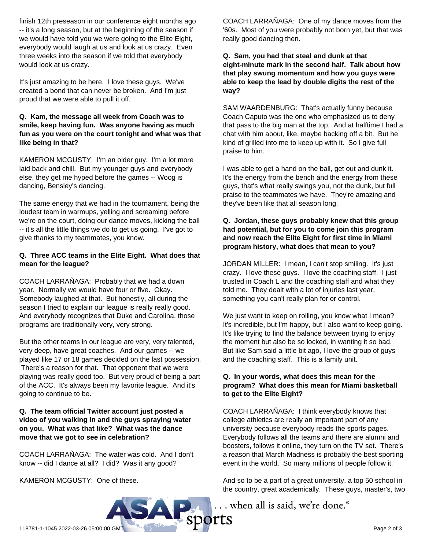finish 12th preseason in our conference eight months ago -- it's a long season, but at the beginning of the season if we would have told you we were going to the Elite Eight, everybody would laugh at us and look at us crazy. Even three weeks into the season if we told that everybody would look at us crazy.

It's just amazing to be here. I love these guys. We've created a bond that can never be broken. And I'm just proud that we were able to pull it off.

#### **Q. Kam, the message all week from Coach was to smile, keep having fun. Was anyone having as much fun as you were on the court tonight and what was that like being in that?**

KAMERON MCGUSTY: I'm an older guy. I'm a lot more laid back and chill. But my younger guys and everybody else, they get me hyped before the games -- Woog is dancing, Bensley's dancing.

The same energy that we had in the tournament, being the loudest team in warmups, yelling and screaming before we're on the court, doing our dance moves, kicking the ball -- it's all the little things we do to get us going. I've got to give thanks to my teammates, you know.

#### **Q. Three ACC teams in the Elite Eight. What does that mean for the league?**

COACH LARRAÑAGA: Probably that we had a down year. Normally we would have four or five. Okay. Somebody laughed at that. But honestly, all during the season I tried to explain our league is really really good. And everybody recognizes that Duke and Carolina, those programs are traditionally very, very strong.

But the other teams in our league are very, very talented, very deep, have great coaches. And our games -- we played like 17 or 18 games decided on the last possession. There's a reason for that. That opponent that we were playing was really good too. But very proud of being a part of the ACC. It's always been my favorite league. And it's going to continue to be.

#### **Q. The team official Twitter account just posted a video of you walking in and the guys spraying water on you. What was that like? What was the dance move that we got to see in celebration?**

COACH LARRAÑAGA: The water was cold. And I don't know -- did I dance at all? I did? Was it any good?

KAMERON MCGUSTY: One of these.

COACH LARRAÑAGA: One of my dance moves from the '60s. Most of you were probably not born yet, but that was really good dancing then.

**Q. Sam, you had that steal and dunk at that eight-minute mark in the second half. Talk about how that play swung momentum and how you guys were able to keep the lead by double digits the rest of the way?**

SAM WAARDENBURG: That's actually funny because Coach Caputo was the one who emphasized us to deny that pass to the big man at the top. And at halftime I had a chat with him about, like, maybe backing off a bit. But he kind of grilled into me to keep up with it. So I give full praise to him.

I was able to get a hand on the ball, get out and dunk it. It's the energy from the bench and the energy from these guys, that's what really swings you, not the dunk, but full praise to the teammates we have. They're amazing and they've been like that all season long.

#### **Q. Jordan, these guys probably knew that this group had potential, but for you to come join this program and now reach the Elite Eight for first time in Miami program history, what does that mean to you?**

JORDAN MILLER: I mean, I can't stop smiling. It's just crazy. I love these guys. I love the coaching staff. I just trusted in Coach L and the coaching staff and what they told me. They dealt with a lot of injuries last year, something you can't really plan for or control.

We just want to keep on rolling, you know what I mean? It's incredible, but I'm happy, but I also want to keep going. It's like trying to find the balance between trying to enjoy the moment but also be so locked, in wanting it so bad. But like Sam said a little bit ago, I love the group of guys and the coaching staff. This is a family unit.

#### **Q. In your words, what does this mean for the program? What does this mean for Miami basketball to get to the Elite Eight?**

COACH LARRAÑAGA: I think everybody knows that college athletics are really an important part of any university because everybody reads the sports pages. Everybody follows all the teams and there are alumni and boosters, follows it online, they turn on the TV set. There's a reason that March Madness is probably the best sporting event in the world. So many millions of people follow it.

And so to be a part of a great university, a top 50 school in the country, great academically. These guys, master's, two

... when all is said, we're done.<sup>®</sup>